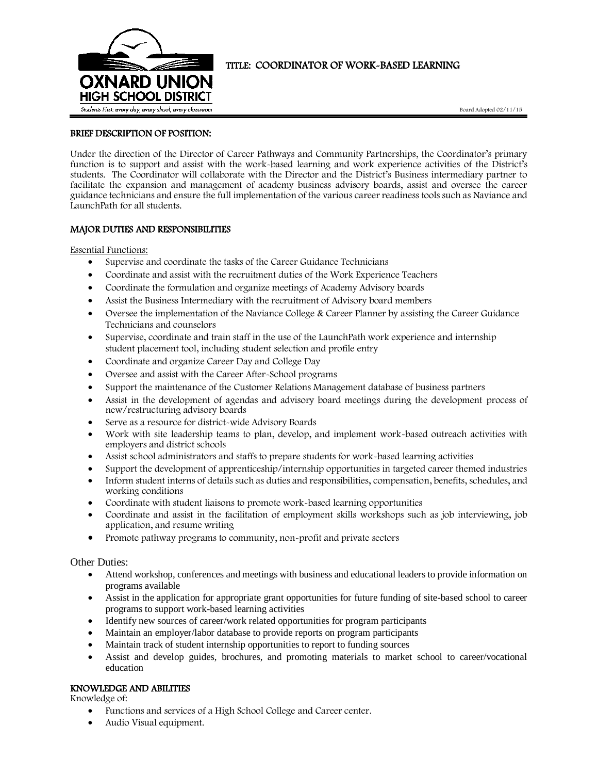

# TITLE: COORDINATOR OF WORK-BASED LEARNING

Board Adopted 02/11/15

### BRIEF DESCRIPTION OF POSITION:

Under the direction of the Director of Career Pathways and Community Partnerships, the Coordinator's primary function is to support and assist with the work-based learning and work experience activities of the District's students. The Coordinator will collaborate with the Director and the District's Business intermediary partner to facilitate the expansion and management of academy business advisory boards, assist and oversee the career guidance technicians and ensure the full implementation of the various career readiness tools such as Naviance and LaunchPath for all students.

## MAJOR DUTIES AND RESPONSIBILITIES

Essential Functions:

- Supervise and coordinate the tasks of the Career Guidance Technicians
- Coordinate and assist with the recruitment duties of the Work Experience Teachers
- Coordinate the formulation and organize meetings of Academy Advisory boards
- Assist the Business Intermediary with the recruitment of Advisory board members
- Oversee the implementation of the Naviance College & Career Planner by assisting the Career Guidance Technicians and counselors
- Supervise, coordinate and train staff in the use of the LaunchPath work experience and internship student placement tool, including student selection and profile entry
- Coordinate and organize Career Day and College Day
- Oversee and assist with the Career After-School programs
- Support the maintenance of the Customer Relations Management database of business partners
- Assist in the development of agendas and advisory board meetings during the development process of new/restructuring advisory boards
- Serve as a resource for district-wide Advisory Boards
- Work with site leadership teams to plan, develop, and implement work-based outreach activities with employers and district schools
- Assist school administrators and staffs to prepare students for work-based learning activities
- Support the development of apprenticeship/internship opportunities in targeted career themed industries
- Inform student interns of details such as duties and responsibilities, compensation, benefits, schedules, and working conditions
- Coordinate with student liaisons to promote work-based learning opportunities
- Coordinate and assist in the facilitation of employment skills workshops such as job interviewing, job application, and resume writing
- Promote pathway programs to community, non-profit and private sectors

Other Duties:

- Attend workshop, conferences and meetings with business and educational leaders to provide information on programs available
- Assist in the application for appropriate grant opportunities for future funding of site-based school to career programs to support work-based learning activities
- Identify new sources of career/work related opportunities for program participants
- Maintain an employer/labor database to provide reports on program participants
- Maintain track of student internship opportunities to report to funding sources
- Assist and develop guides, brochures, and promoting materials to market school to career/vocational education

## KNOWLEDGE AND ABILITIES

Knowledge of:

- Functions and services of a High School College and Career center.
- Audio Visual equipment.